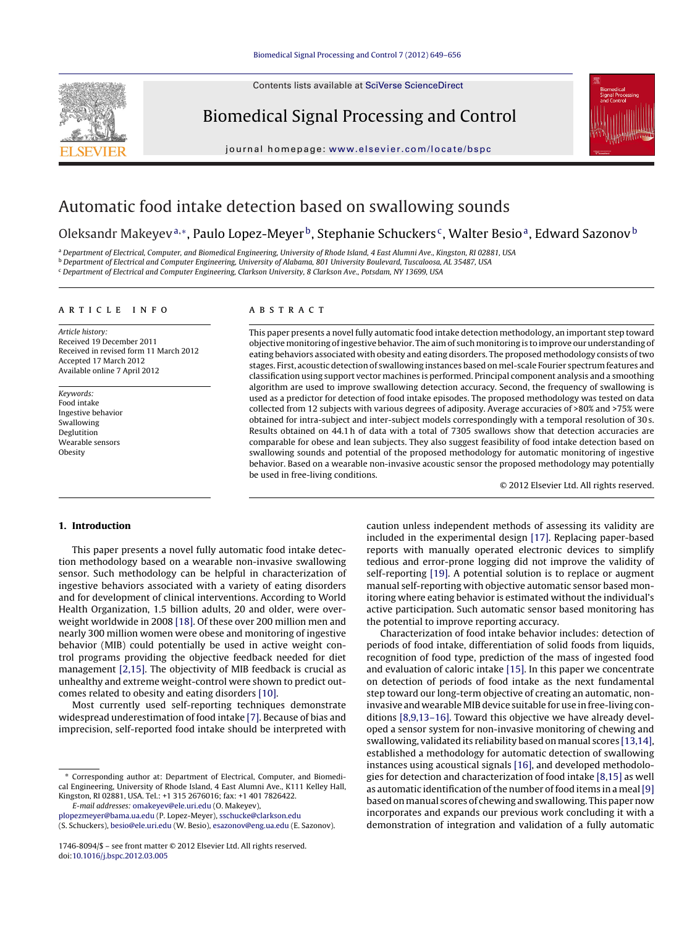Contents lists available at SciVerse [ScienceDirect](http://www.sciencedirect.com/science/journal/17468094)



# Biomedical Signal Processing and Control

journal homepage: [www.elsevier.com/locate/bspc](http://www.elsevier.com/locate/bspc)



# Automatic food intake detection based on swallowing sounds

# Oleksandr Makeyev<sup>a,∗</sup>, Paulo Lopez-Meyer<sup>b</sup>, Stephanie Schuckers<sup>c</sup>, Walter Besio<sup>a</sup>, Edward Sazonov<sup>b</sup>

a Department of Electrical, Computer, and Biomedical Engineering, University of Rhode Island, 4 East Alumni Ave., Kingston, RI 02881, USA

<sup>b</sup> Department of Electrical and Computer Engineering, University of Alabama, 801 University Boulevard, Tuscaloosa, AL 35487, USA

<sup>c</sup> Department of Electrical and Computer Engineering, Clarkson University, 8 Clarkson Ave., Potsdam, NY 13699, USA

#### ARTICLE INFO

Article history: Received 19 December 2011 Received in revised form 11 March 2012 Accepted 17 March 2012 Available online 7 April 2012

Keywords: Food intake Ingestive behavior Swallowing Deglutition Wearable sensors Obesity

### A B S T R A C T

This paper presents a novel fully automatic food intake detection methodology, an important step toward objective monitoring ofingestive behavior. The aim of such monitoring is to improve our understanding of eating behaviors associated with obesity and eating disorders. The proposed methodology consists oftwo stages. First, acoustic detection of swallowing instances based on mel-scale Fourier spectrum features and classification using support vector machines is performed. Principal component analysis and a smoothing algorithm are used to improve swallowing detection accuracy. Second, the frequency of swallowing is used as a predictor for detection of food intake episodes. The proposed methodology was tested on data collected from 12 subjects with various degrees of adiposity. Average accuracies of >80% and >75% were obtained for intra-subject and inter-subject models correspondingly with a temporal resolution of 30 s. Results obtained on 44.1 h of data with a total of 7305 swallows show that detection accuracies are comparable for obese and lean subjects. They also suggest feasibility of food intake detection based on swallowing sounds and potential of the proposed methodology for automatic monitoring of ingestive behavior. Based on a wearable non-invasive acoustic sensor the proposed methodology may potentially be used in free-living conditions.

© 2012 Elsevier Ltd. All rights reserved.

#### **1. Introduction**

This paper presents a novel fully automatic food intake detection methodology based on a wearable non-invasive swallowing sensor. Such methodology can be helpful in characterization of ingestive behaviors associated with a variety of eating disorders and for development of clinical interventions. According to World Health Organization, 1.5 billion adults, 20 and older, were overweight worldwide in 2008 [\[18\].](#page-7-0) Of these over 200 million men and nearly 300 million women were obese and monitoring of ingestive behavior (MIB) could potentially be used in active weight control programs providing the objective feedback needed for diet management [\[2,15\].](#page-7-0) The objectivity of MIB feedback is crucial as unhealthy and extreme weight-control were shown to predict outcomes related to obesity and eating disorders [\[10\].](#page-7-0)

Most currently used self-reporting techniques demonstrate widespread underestimation of food intake [\[7\].](#page-7-0) Because of bias and imprecision, self-reported food intake should be interpreted with

E-mail addresses: [omakeyev@ele.uri.edu](mailto:omakeyev@ele.uri.edu) (O. Makeyev),

[plopezmeyer@bama.ua.edu](mailto:plopezmeyer@bama.ua.edu) (P. Lopez-Meyer), [sschucke@clarkson.edu](mailto:sschucke@clarkson.edu)

caution unless independent methods of assessing its validity are included in the experimental design [\[17\].](#page-7-0) Replacing paper-based reports with manually operated electronic devices to simplify tedious and error-prone logging did not improve the validity of self-reporting [\[19\].](#page-7-0) A potential solution is to replace or augment manual self-reporting with objective automatic sensor based monitoring where eating behavior is estimated without the individual's active participation. Such automatic sensor based monitoring has the potential to improve reporting accuracy.

Characterization of food intake behavior includes: detection of periods of food intake, differentiation of solid foods from liquids, recognition of food type, prediction of the mass of ingested food and evaluation of caloric intake [\[15\].](#page-7-0) In this paper we concentrate on detection of periods of food intake as the next fundamental step toward our long-term objective of creating an automatic, noninvasive and wearable MIB device suitable for use in free-living conditions [\[8,9,13–16\].](#page-7-0) Toward this objective we have already developed a sensor system for non-invasive monitoring of chewing and swallowing, validated its reliability based on manual scores [\[13,14\],](#page-7-0) established a methodology for automatic detection of swallowing instances using acoustical signals [\[16\],](#page-7-0) and developed methodologies for detection and characterization of food intake [\[8,15\]](#page-7-0) as well as automatic identification of the number of food items in a meal [\[9\]](#page-7-0) based on manual scores of chewing and swallowing. This paper now incorporates and expands our previous work concluding it with a demonstration of integration and validation of a fully automatic

<sup>∗</sup> Corresponding author at: Department of Electrical, Computer, and Biomedical Engineering, University of Rhode Island, 4 East Alumni Ave., K111 Kelley Hall, Kingston, RI 02881, USA. Tel.: +1 315 2676016; fax: +1 401 7826422.

<sup>(</sup>S. Schuckers), [besio@ele.uri.edu](mailto:besio@ele.uri.edu) (W. Besio), [esazonov@eng.ua.edu](mailto:esazonov@eng.ua.edu) (E. Sazonov).

<sup>1746-8094/\$</sup> – see front matter © 2012 Elsevier Ltd. All rights reserved. doi:[10.1016/j.bspc.2012.03.005](dx.doi.org/10.1016/j.bspc.2012.03.005)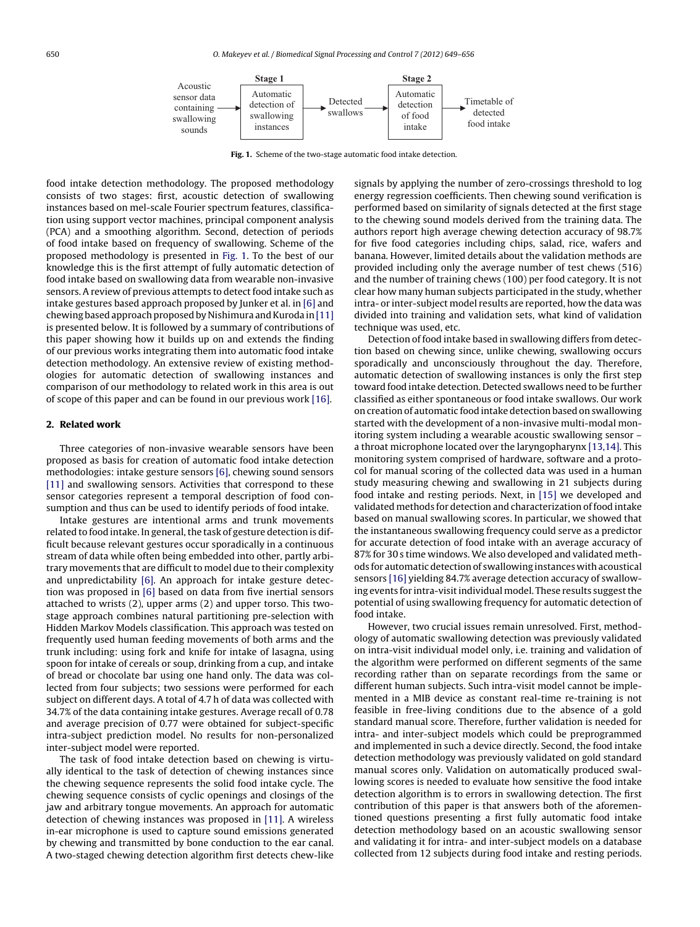

**Fig. 1.** Scheme of the two-stage automatic food intake detection.

food intake detection methodology. The proposed methodology consists of two stages: first, acoustic detection of swallowing instances based on mel-scale Fourier spectrum features, classification using support vector machines, principal component analysis (PCA) and a smoothing algorithm. Second, detection of periods of food intake based on frequency of swallowing. Scheme of the proposed methodology is presented in Fig. 1. To the best of our knowledge this is the first attempt of fully automatic detection of food intake based on swallowing data from wearable non-invasive sensors. A review of previous attempts to detect food intake such as intake gestures based approach proposed by Junker et al. in [\[6\]](#page-7-0) and chewing based approach proposed by Nishimura and Kuroda in  $[11]$ is presented below. It is followed by a summary of contributions of this paper showing how it builds up on and extends the finding of our previous works integrating them into automatic food intake detection methodology. An extensive review of existing methodologies for automatic detection of swallowing instances and comparison of our methodology to related work in this area is out of scope of this paper and can be found in our previous work [\[16\].](#page-7-0)

#### **2. Related work**

Three categories of non-invasive wearable sensors have been proposed as basis for creation of automatic food intake detection methodologies: intake gesture sensors [\[6\],](#page-7-0) chewing sound sensors [\[11\]](#page-7-0) and swallowing sensors. Activities that correspond to these sensor categories represent a temporal description of food consumption and thus can be used to identify periods of food intake.

Intake gestures are intentional arms and trunk movements related to food intake. In general, the task of gesture detection is difficult because relevant gestures occur sporadically in a continuous stream of data while often being embedded into other, partly arbitrary movements that are difficult to model due to their complexity and unpredictability [\[6\].](#page-7-0) An approach for intake gesture detection was proposed in [\[6\]](#page-7-0) based on data from five inertial sensors attached to wrists (2), upper arms (2) and upper torso. This twostage approach combines natural partitioning pre-selection with Hidden Markov Models classification. This approach was tested on frequently used human feeding movements of both arms and the trunk including: using fork and knife for intake of lasagna, using spoon for intake of cereals or soup, drinking from a cup, and intake of bread or chocolate bar using one hand only. The data was collected from four subjects; two sessions were performed for each subject on different days. A total of 4.7 h of data was collected with 34.7% of the data containing intake gestures. Average recall of 0.78 and average precision of 0.77 were obtained for subject-specific intra-subject prediction model. No results for non-personalized inter-subject model were reported.

The task of food intake detection based on chewing is virtually identical to the task of detection of chewing instances since the chewing sequence represents the solid food intake cycle. The chewing sequence consists of cyclic openings and closings of the jaw and arbitrary tongue movements. An approach for automatic detection of chewing instances was proposed in [\[11\].](#page-7-0) A wireless in-ear microphone is used to capture sound emissions generated by chewing and transmitted by bone conduction to the ear canal. A two-staged chewing detection algorithm first detects chew-like

signals by applying the number of zero-crossings threshold to log energy regression coefficients. Then chewing sound verification is performed based on similarity of signals detected at the first stage to the chewing sound models derived from the training data. The authors report high average chewing detection accuracy of 98.7% for five food categories including chips, salad, rice, wafers and banana. However, limited details about the validation methods are provided including only the average number of test chews (516) and the number of training chews (100) per food category. It is not clear how many human subjects participated in the study, whether intra- or inter-subject model results are reported, how the data was divided into training and validation sets, what kind of validation technique was used, etc.

Detection of food intake based in swallowing differs from detection based on chewing since, unlike chewing, swallowing occurs sporadically and unconsciously throughout the day. Therefore, automatic detection of swallowing instances is only the first step toward food intake detection. Detected swallows need to be further classified as either spontaneous or food intake swallows. Our work on creation of automatic food intake detection based on swallowing started with the development of a non-invasive multi-modal monitoring system including a wearable acoustic swallowing sensor – a throat microphone located over the laryngopharynx [\[13,14\].](#page-7-0) This monitoring system comprised of hardware, software and a protocol for manual scoring of the collected data was used in a human study measuring chewing and swallowing in 21 subjects during food intake and resting periods. Next, in [\[15\]](#page-7-0) we developed and validated methods for detection and characterization of food intake based on manual swallowing scores. In particular, we showed that the instantaneous swallowing frequency could serve as a predictor for accurate detection of food intake with an average accuracy of 87% for 30 s time windows. We also developed and validated methods for automatic detection of swallowing instances with acoustical sensors [\[16\]](#page-7-0) yielding 84.7% average detection accuracy of swallowing events for intra-visit individual model. These results suggest the potential of using swallowing frequency for automatic detection of food intake.

However, two crucial issues remain unresolved. First, methodology of automatic swallowing detection was previously validated on intra-visit individual model only, i.e. training and validation of the algorithm were performed on different segments of the same recording rather than on separate recordings from the same or different human subjects. Such intra-visit model cannot be implemented in a MIB device as constant real-time re-training is not feasible in free-living conditions due to the absence of a gold standard manual score. Therefore, further validation is needed for intra- and inter-subject models which could be preprogrammed and implemented in such a device directly. Second, the food intake detection methodology was previously validated on gold standard manual scores only. Validation on automatically produced swallowing scores is needed to evaluate how sensitive the food intake detection algorithm is to errors in swallowing detection. The first contribution of this paper is that answers both of the aforementioned questions presenting a first fully automatic food intake detection methodology based on an acoustic swallowing sensor and validating it for intra- and inter-subject models on a database collected from 12 subjects during food intake and resting periods.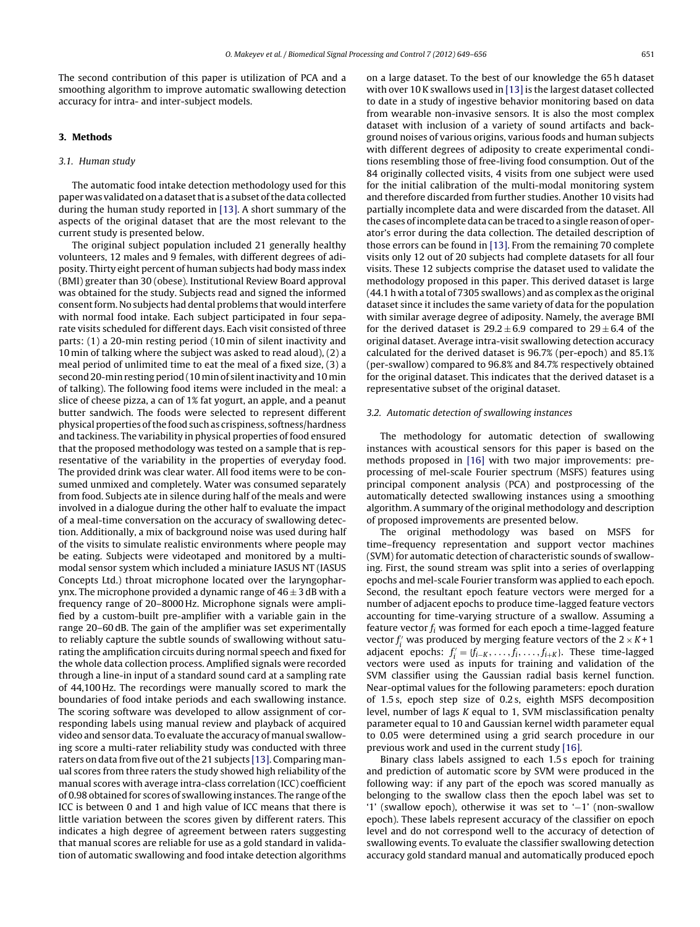<span id="page-2-0"></span>The second contribution of this paper is utilization of PCA and a smoothing algorithm to improve automatic swallowing detection accuracy for intra- and inter-subject models.

## **3. Methods**

#### 3.1. Human study

The automatic food intake detection methodology used for this paper was validatedonadatasetthatis a subset ofthedata collected during the human study reported in [\[13\].](#page-7-0) A short summary of the aspects of the original dataset that are the most relevant to the current study is presented below.

The original subject population included 21 generally healthy volunteers, 12 males and 9 females, with different degrees of adiposity. Thirty eight percent of human subjects had body mass index (BMI) greater than 30 (obese). Institutional Review Board approval was obtained for the study. Subjects read and signed the informed consent form. No subjects had dental problems that would interfere with normal food intake. Each subject participated in four separate visits scheduled for different days. Each visit consisted of three parts: (1) a 20-min resting period (10 min of silent inactivity and 10 min of talking where the subject was asked to read aloud), (2) a meal period of unlimited time to eat the meal of a fixed size, (3) a second 20-min resting period (10 min of silent inactivity and 10 min of talking). The following food items were included in the meal: a slice of cheese pizza, a can of 1% fat yogurt, an apple, and a peanut butter sandwich. The foods were selected to represent different physical properties ofthe food suchas crispiness, softness/hardness and tackiness. The variability in physical properties of food ensured that the proposed methodology was tested on a sample that is representative of the variability in the properties of everyday food. The provided drink was clear water. All food items were to be consumed unmixed and completely. Water was consumed separately from food. Subjects ate in silence during half of the meals and were involved in a dialogue during the other half to evaluate the impact of a meal-time conversation on the accuracy of swallowing detection. Additionally, a mix of background noise was used during half of the visits to simulate realistic environments where people may be eating. Subjects were videotaped and monitored by a multimodal sensor system which included a miniature IASUS NT (IASUS Concepts Ltd.) throat microphone located over the laryngopharynx. The microphone provided a dynamic range of  $46 \pm 3$  dB with a frequency range of 20–8000 Hz. Microphone signals were amplified by a custom-built pre-amplifier with a variable gain in the range 20–60 dB. The gain of the amplifier was set experimentally to reliably capture the subtle sounds of swallowing without saturating the amplification circuits during normal speech and fixed for the whole data collection process. Amplified signals were recorded through a line-in input of a standard sound card at a sampling rate of 44,100 Hz. The recordings were manually scored to mark the boundaries of food intake periods and each swallowing instance. The scoring software was developed to allow assignment of corresponding labels using manual review and playback of acquired video and sensor data. To evaluate the accuracy of manual swallowing score a multi-rater reliability study was conducted with three raters on data from five out of the 21 subjects [\[13\].](#page-7-0) Comparing manual scores from three raters the study showed high reliability of the manual scores with average intra-class correlation (ICC) coefficient of 0.98 obtained for scores of swallowing instances. The range of the ICC is between 0 and 1 and high value of ICC means that there is little variation between the scores given by different raters. This indicates a high degree of agreement between raters suggesting that manual scores are reliable for use as a gold standard in validation of automatic swallowing and food intake detection algorithms

on a large dataset. To the best of our knowledge the 65 h dataset with over 10K swallows used in [\[13\]](#page-7-0) is the largest dataset collected to date in a study of ingestive behavior monitoring based on data from wearable non-invasive sensors. It is also the most complex dataset with inclusion of a variety of sound artifacts and background noises of various origins, various foods and human subjects with different degrees of adiposity to create experimental conditions resembling those of free-living food consumption. Out of the 84 originally collected visits, 4 visits from one subject were used for the initial calibration of the multi-modal monitoring system and therefore discarded from further studies. Another 10 visits had partially incomplete data and were discarded from the dataset. All the cases ofincomplete data can be traced to a single reason of operator's error during the data collection. The detailed description of those errors can be found in [\[13\].](#page-7-0) From the remaining 70 complete visits only 12 out of 20 subjects had complete datasets for all four visits. These 12 subjects comprise the dataset used to validate the methodology proposed in this paper. This derived dataset is large (44.1 h with a total of 7305 swallows) and as complex as the original dataset since it includes the same variety of data for the population with similar average degree of adiposity. Namely, the average BMI for the derived dataset is  $29.2 \pm 6.9$  compared to  $29 \pm 6.4$  of the original dataset. Average intra-visit swallowing detection accuracy calculated for the derived dataset is 96.7% (per-epoch) and 85.1% (per-swallow) compared to 96.8% and 84.7% respectively obtained for the original dataset. This indicates that the derived dataset is a representative subset of the original dataset.

# 3.2. Automatic detection of swallowing instances

The methodology for automatic detection of swallowing instances with acoustical sensors for this paper is based on the methods proposed in [\[16\]](#page-7-0) with two major improvements: preprocessing of mel-scale Fourier spectrum (MSFS) features using principal component analysis (PCA) and postprocessing of the automatically detected swallowing instances using a smoothing algorithm. A summary of the original methodology and description of proposed improvements are presented below.

The original methodology was based on MSFS for time–frequency representation and support vector machines (SVM) for automatic detection of characteristic sounds of swallowing. First, the sound stream was split into a series of overlapping epochs and mel-scale Fourier transform was applied to each epoch. Second, the resultant epoch feature vectors were merged for a number of adjacent epochs to produce time-lagged feature vectors accounting for time-varying structure of a swallow. Assuming a feature vector  $f_i$  was formed for each epoch a time-lagged feature vector  $f'_i$  was produced by merging feature vectors of the  $2 \times K + 1$ adjacent epochs:  $f'_i = \{f_{i-K}, \ldots, f_i, \ldots, f_{i+K}\}\$ . These time-lagged vectors were used as inputs for training and validation of the SVM classifier using the Gaussian radial basis kernel function. Near-optimal values for the following parameters: epoch duration of 1.5 s, epoch step size of 0.2 s, eighth MSFS decomposition level, number of lags K equal to 1, SVM misclassification penalty parameter equal to 10 and Gaussian kernel width parameter equal to 0.05 were determined using a grid search procedure in our previous work and used in the current study [\[16\].](#page-7-0)

Binary class labels assigned to each 1.5 s epoch for training and prediction of automatic score by SVM were produced in the following way: if any part of the epoch was scored manually as belonging to the swallow class then the epoch label was set to '1' (swallow epoch), otherwise it was set to '−1' (non-swallow epoch). These labels represent accuracy of the classifier on epoch level and do not correspond well to the accuracy of detection of swallowing events. To evaluate the classifier swallowing detection accuracy gold standard manual and automatically produced epoch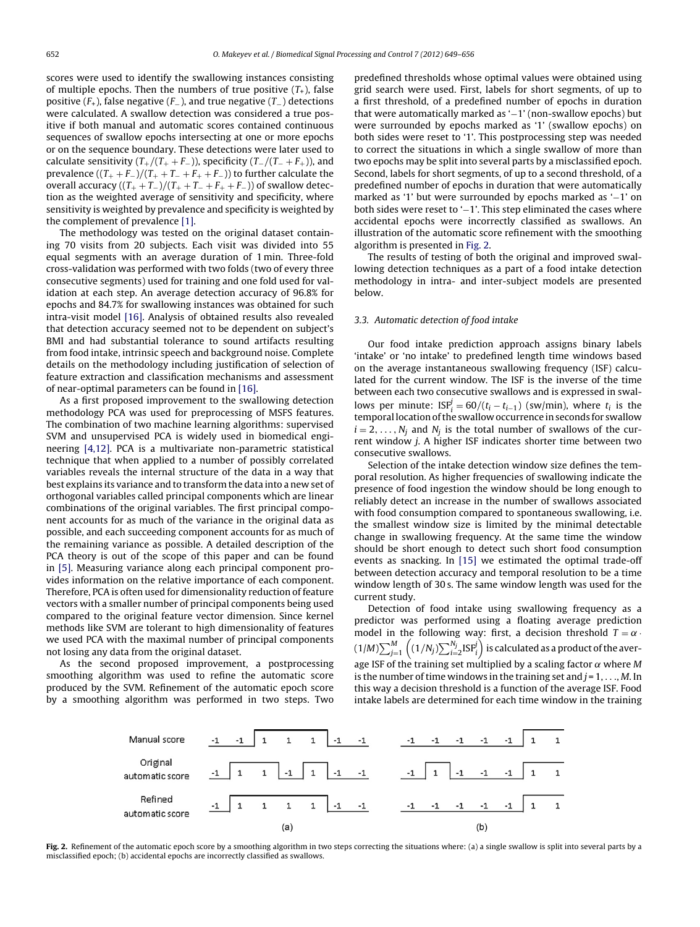scores were used to identify the swallowing instances consisting of multiple epochs. Then the numbers of true positive  $(T_{+})$ , false positive  $(F_{+})$ , false negative  $(F_{-})$ , and true negative  $(T_{-})$  detections were calculated. A swallow detection was considered a true positive if both manual and automatic scores contained continuous sequences of swallow epochs intersecting at one or more epochs or on the sequence boundary. These detections were later used to calculate sensitivity  $(T_{+}/(T_{+} + F_{-}))$ , specificity  $(T_{-}/(T_{-} + F_{+}))$ , and prevalence  $((T_+ + F_-)/(T_+ + T_- + F_+ + F_-))$  to further calculate the overall accuracy  $((T_+ + T_-)/(T_+ + T_- + F_+ + F_-))$  of swallow detection as the weighted average of sensitivity and specificity, where sensitivity is weighted by prevalence and specificity is weighted by the complement of prevalence [\[1\].](#page-7-0)

The methodology was tested on the original dataset containing 70 visits from 20 subjects. Each visit was divided into 55 equal segments with an average duration of 1 min. Three-fold cross-validation was performed with two folds (two of every three consecutive segments) used for training and one fold used for validation at each step. An average detection accuracy of 96.8% for epochs and 84.7% for swallowing instances was obtained for such intra-visit model [\[16\].](#page-7-0) Analysis of obtained results also revealed that detection accuracy seemed not to be dependent on subject's BMI and had substantial tolerance to sound artifacts resulting from food intake, intrinsic speech and background noise. Complete details on the methodology including justification of selection of feature extraction and classification mechanisms and assessment of near-optimal parameters can be found in [\[16\].](#page-7-0)

As a first proposed improvement to the swallowing detection methodology PCA was used for preprocessing of MSFS features. The combination of two machine learning algorithms: supervised SVM and unsupervised PCA is widely used in biomedical engineering [\[4,12\].](#page-7-0) PCA is a multivariate non-parametric statistical technique that when applied to a number of possibly correlated variables reveals the internal structure of the data in a way that best explains its variance and to transform the data into a new set of orthogonal variables called principal components which are linear combinations of the original variables. The first principal component accounts for as much of the variance in the original data as possible, and each succeeding component accounts for as much of the remaining variance as possible. A detailed description of the PCA theory is out of the scope of this paper and can be found in [\[5\].](#page-7-0) Measuring variance along each principal component provides information on the relative importance of each component. Therefore, PCA is often used for dimensionality reduction of feature vectors with a smaller number of principal components being used compared to the original feature vector dimension. Since kernel methods like SVM are tolerant to high dimensionality of features we used PCA with the maximal number of principal components not losing any data from the original dataset.

As the second proposed improvement, a postprocessing smoothing algorithm was used to refine the automatic score produced by the SVM. Refinement of the automatic epoch score by a smoothing algorithm was performed in two steps. Two

predefined thresholds whose optimal values were obtained using grid search were used. First, labels for short segments, of up to a first threshold, of a predefined number of epochs in duration that were automatically marked as '−1' (non-swallow epochs) but were surrounded by epochs marked as '1' (swallow epochs) on both sides were reset to '1'. This postprocessing step was needed to correct the situations in which a single swallow of more than two epochs may be split into several parts by a misclassified epoch. Second, labels for short segments, of up to a second threshold, of a predefined number of epochs in duration that were automatically marked as '1' but were surrounded by epochs marked as '−1' on both sides were reset to '−1'. This step eliminated the cases where accidental epochs were incorrectly classified as swallows. An illustration of the automatic score refinement with the smoothing algorithm is presented in Fig. 2.

The results of testing of both the original and improved swallowing detection techniques as a part of a food intake detection methodology in intra- and inter-subject models are presented below.

#### 3.3. Automatic detection of food intake

Our food intake prediction approach assigns binary labels 'intake' or 'no intake' to predefined length time windows based on the average instantaneous swallowing frequency (ISF) calculated for the current window. The ISF is the inverse of the time between each two consecutive swallows and is expressed in swallows per minute:  $ISF_i^j = 60/(t_i - t_{i-1})$  (sw/min), where  $t_i$  is the temporal location of the swallow occurrence in seconds for swallow  $i = 2, \ldots, N_i$  and  $N_i$  is the total number of swallows of the current window j. A higher ISF indicates shorter time between two consecutive swallows.

Selection of the intake detection window size defines the temporal resolution. As higher frequencies of swallowing indicate the presence of food ingestion the window should be long enough to reliably detect an increase in the number of swallows associated with food consumption compared to spontaneous swallowing, i.e. the smallest window size is limited by the minimal detectable change in swallowing frequency. At the same time the window should be short enough to detect such short food consumption events as snacking. In [\[15\]](#page-7-0) we estimated the optimal trade-off between detection accuracy and temporal resolution to be a time window length of 30 s. The same window length was used for the current study.

Detection of food intake using swallowing frequency as a predictor was performed using a floating average prediction model in the following way: first, a decision threshold  $T = \alpha$ .  $(1/M)\!\sum_{j=1}^M\left((1/N_j)\!\sum_{i=2}^{N_j}\!\text{ISF}_i^j\right)$  is calculated as a product of the average ISF of the training set multiplied by a scaling factor  $\alpha$  where M is the number of time windows in the training set and  $j = 1, \ldots, M$ . In this way a decision threshold is a function of the average ISF. Food intake labels are determined for each time window in the training



Fig. 2. Refinement of the automatic epoch score by a smoothing algorithm in two steps correcting the situations where: (a) a single swallow is split into several parts by a misclassified epoch; (b) accidental epochs are incorrectly classified as swallows.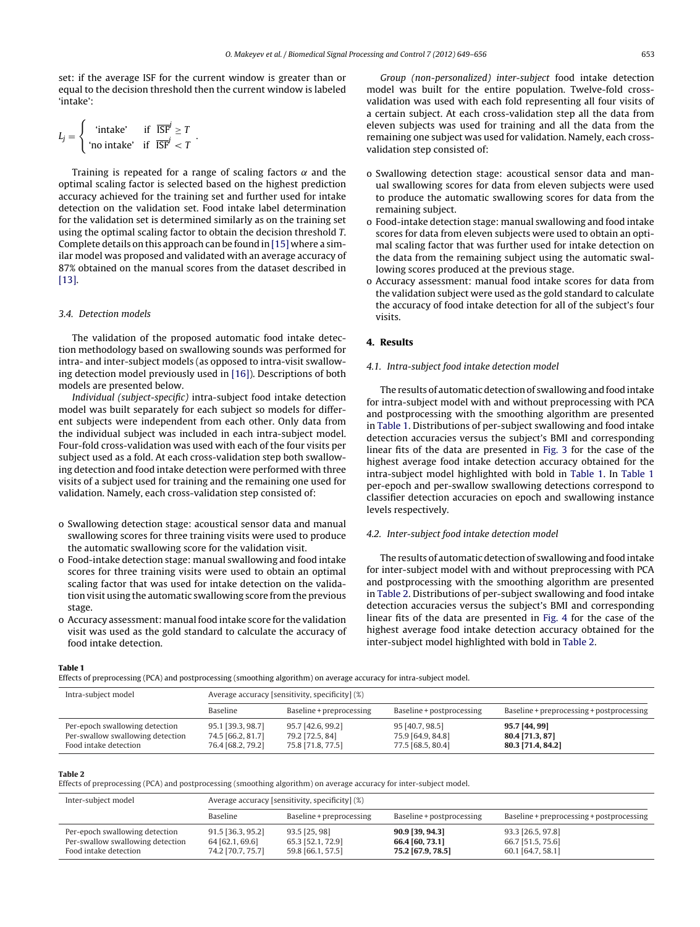<span id="page-4-0"></span>set: if the average ISF for the current window is greater than or equal to the decision threshold then the current window is labeled 'intake':

$$
L_j = \begin{cases} \text{ 'intake' } & \text{if } \overline{\text{ISF}}^j \geq T \\ \text{ 'no intake' } & \text{if } \overline{\text{ISF}}^j < T \end{cases}.
$$

Training is repeated for a range of scaling factors  $\alpha$  and the optimal scaling factor is selected based on the highest prediction accuracy achieved for the training set and further used for intake detection on the validation set. Food intake label determination for the validation set is determined similarly as on the training set using the optimal scaling factor to obtain the decision threshold T. Complete details on this approach can be found in [\[15\]](#page-7-0) where a similar model was proposed and validated with an average accuracy of 87% obtained on the manual scores from the dataset described in [\[13\].](#page-7-0)

#### 3.4. Detection models

The validation of the proposed automatic food intake detection methodology based on swallowing sounds was performed for intra- and inter-subject models (as opposed to intra-visit swallowing detection model previously used in [\[16\]\).](#page-7-0) Descriptions of both models are presented below.

Individual (subject-specific) intra-subject food intake detection model was built separately for each subject so models for different subjects were independent from each other. Only data from the individual subject was included in each intra-subject model. Four-fold cross-validation was used with each of the four visits per subject used as a fold. At each cross-validation step both swallowing detection and food intake detection were performed with three visits of a subject used for training and the remaining one used for validation. Namely, each cross-validation step consisted of:

- o Swallowing detection stage: acoustical sensor data and manual swallowing scores for three training visits were used to produce the automatic swallowing score for the validation visit.
- o Food-intake detection stage: manual swallowing and food intake scores for three training visits were used to obtain an optimal scaling factor that was used for intake detection on the validation visit using the automatic swallowing score from the previous stage.
- o Accuracy assessment: manualfood intake score for the validation visit was used as the gold standard to calculate the accuracy of food intake detection.

Group (non-personalized) inter-subject food intake detection model was built for the entire population. Twelve-fold crossvalidation was used with each fold representing all four visits of a certain subject. At each cross-validation step all the data from eleven subjects was used for training and all the data from the remaining one subject was used for validation. Namely, each crossvalidation step consisted of:

- o Swallowing detection stage: acoustical sensor data and manual swallowing scores for data from eleven subjects were used to produce the automatic swallowing scores for data from the remaining subject.
- o Food-intake detection stage: manual swallowing and food intake scores for data from eleven subjects were used to obtain an optimal scaling factor that was further used for intake detection on the data from the remaining subject using the automatic swallowing scores produced at the previous stage.
- o Accuracy assessment: manual food intake scores for data from the validation subject were used as the gold standard to calculate the accuracy of food intake detection for all of the subject's four visits.

#### **4. Results**

#### 4.1. Intra-subject food intake detection model

The results of automatic detection of swallowing and food intake for intra-subject model with and without preprocessing with PCA and postprocessing with the smoothing algorithm are presented in Table 1. Distributions of per-subject swallowing and food intake detection accuracies versus the subject's BMI and corresponding linear fits of the data are presented in [Fig.](#page-5-0) 3 for the case of the highest average food intake detection accuracy obtained for the intra-subject model highlighted with bold in Table 1. In Table 1 per-epoch and per-swallow swallowing detections correspond to classifier detection accuracies on epoch and swallowing instance levels respectively.

### 4.2. Inter-subject food intake detection model

The results of automatic detection of swallowing and food intake for inter-subject model with and without preprocessing with PCA and postprocessing with the smoothing algorithm are presented in Table 2. Distributions of per-subject swallowing and food intake detection accuracies versus the subject's BMI and corresponding linear fits of the data are presented in [Fig.](#page-5-0) 4 for the case of the highest average food intake detection accuracy obtained for the inter-subject model highlighted with bold in Table 2.

#### **Table 1**

Effects of preprocessing (PCA) and postprocessing (smoothing algorithm) on average accuracy for intra-subject model.

| Intra-subject model                                                                         | Average accuracy [sensitivity, specificity] (%)             |                                                           |                                                           |                                                       |  |  |
|---------------------------------------------------------------------------------------------|-------------------------------------------------------------|-----------------------------------------------------------|-----------------------------------------------------------|-------------------------------------------------------|--|--|
|                                                                                             | Baseline                                                    | Baseline + preprocessing                                  | Baseline + postprocessing                                 | Baseline + preprocessing + postprocessing             |  |  |
| Per-epoch swallowing detection<br>Per-swallow swallowing detection<br>Food intake detection | 95.1 [39.3, 98.7]<br>74.5 [66.2, 81.7]<br>76.4 [68.2, 79.2] | 95.7 [42.6, 99.2]<br>79.2 [72.5, 84]<br>75.8 [71.8, 77.5] | 95 [40.7, 98.5]<br>75.9 [64.9, 84.8]<br>77.5 [68.5, 80.4] | 95.7 [44, 99]<br>80.4 [71.3, 87]<br>80.3 [71.4, 84.2] |  |  |

#### **Table 2**

Effects of preprocessing (PCA) and postprocessing (smoothing algorithm) on average accuracy for inter-subject model.

| Inter-subject model                                                                         | Average accuracy [sensitivity, specificity] (%)           |                                                         |                                                         |                                                             |  |
|---------------------------------------------------------------------------------------------|-----------------------------------------------------------|---------------------------------------------------------|---------------------------------------------------------|-------------------------------------------------------------|--|
|                                                                                             | <b>Baseline</b>                                           | Baseline + preprocessing                                | Baseline + postprocessing                               | Baseline + preprocessing + postprocessing                   |  |
| Per-epoch swallowing detection<br>Per-swallow swallowing detection<br>Food intake detection | 91.5 [36.3, 95.2]<br>64 [62.1, 69.6]<br>74.2 [70.7, 75.7] | 93.5 [25, 98]<br>65.3 [52.1, 72.9]<br>59.8 [66.1, 57.5] | 90.9 [39, 94.3]<br>66.4 [60, 73.1]<br>75.2 [67.9, 78.5] | 93.3 [26.5, 97.8]<br>66.7 [51.5, 75.6]<br>60.1 [64.7, 58.1] |  |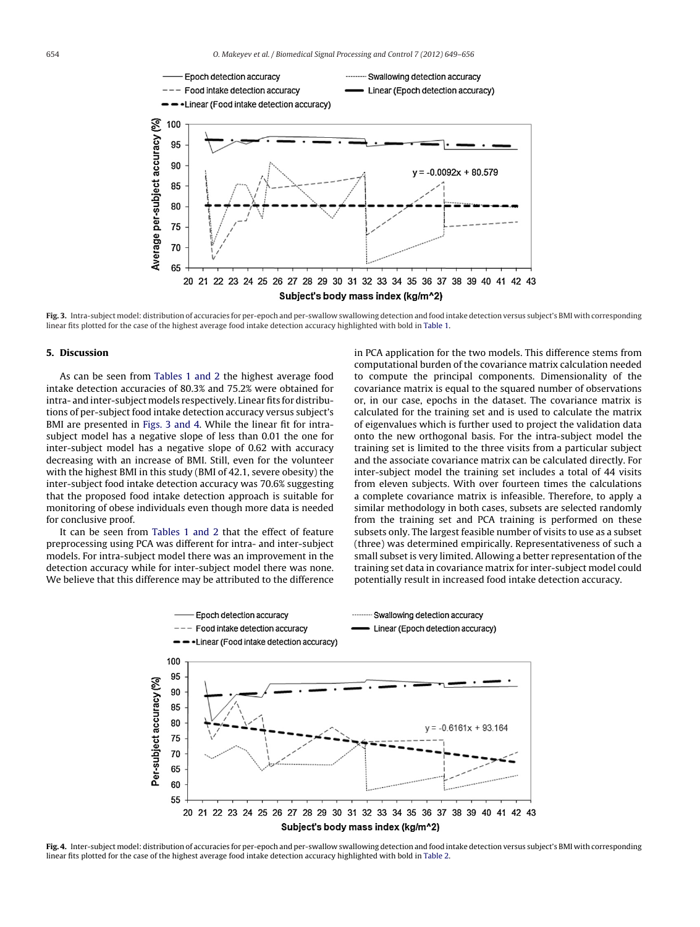<span id="page-5-0"></span>

**Fig. 3.** Intra-subject model: distribution of accuracies for per-epoch and per-swallow swallowing detection and food intake detection versus subject's BMI with corresponding linear fits plotted for the case of the highest average food intake detection accuracy highlighted with bold in [Table](#page-4-0) 1.

#### **5. Discussion**

As can be seen from [Tables](#page-4-0) 1 and 2 the highest average food intake detection accuracies of 80.3% and 75.2% were obtained for intra- and inter-subject models respectively. Linear fits for distributions of per-subject food intake detection accuracy versus subject's BMI are presented in Figs. 3 and 4. While the linear fit for intrasubject model has a negative slope of less than 0.01 the one for inter-subject model has a negative slope of 0.62 with accuracy decreasing with an increase of BMI. Still, even for the volunteer with the highest BMI in this study (BMI of 42.1, severe obesity) the inter-subject food intake detection accuracy was 70.6% suggesting that the proposed food intake detection approach is suitable for monitoring of obese individuals even though more data is needed for conclusive proof.

It can be seen from [Tables](#page-4-0) 1 and 2 that the effect of feature preprocessing using PCA was different for intra- and inter-subject models. For intra-subject model there was an improvement in the detection accuracy while for inter-subject model there was none. We believe that this difference may be attributed to the difference

in PCA application for the two models. This difference stems from computational burden of the covariance matrix calculation needed to compute the principal components. Dimensionality of the covariance matrix is equal to the squared number of observations or, in our case, epochs in the dataset. The covariance matrix is calculated for the training set and is used to calculate the matrix of eigenvalues which is further used to project the validation data onto the new orthogonal basis. For the intra-subject model the training set is limited to the three visits from a particular subject and the associate covariance matrix can be calculated directly. For inter-subject model the training set includes a total of 44 visits from eleven subjects. With over fourteen times the calculations a complete covariance matrix is infeasible. Therefore, to apply a similar methodology in both cases, subsets are selected randomly from the training set and PCA training is performed on these subsets only. The largest feasible number of visits to use as a subset (three) was determined empirically. Representativeness of such a small subset is very limited. Allowing a better representation of the training set data in covariance matrix for inter-subject model could potentially result in increased food intake detection accuracy.



**Fig. 4.** Inter-subject model: distribution of accuracies for per-epoch and per-swallow swallowing detection and food intake detection versus subject's BMI with corresponding linear fits plotted for the case of the highest average food intake detection accuracy highlighted with bold in [Table](#page-4-0) 2.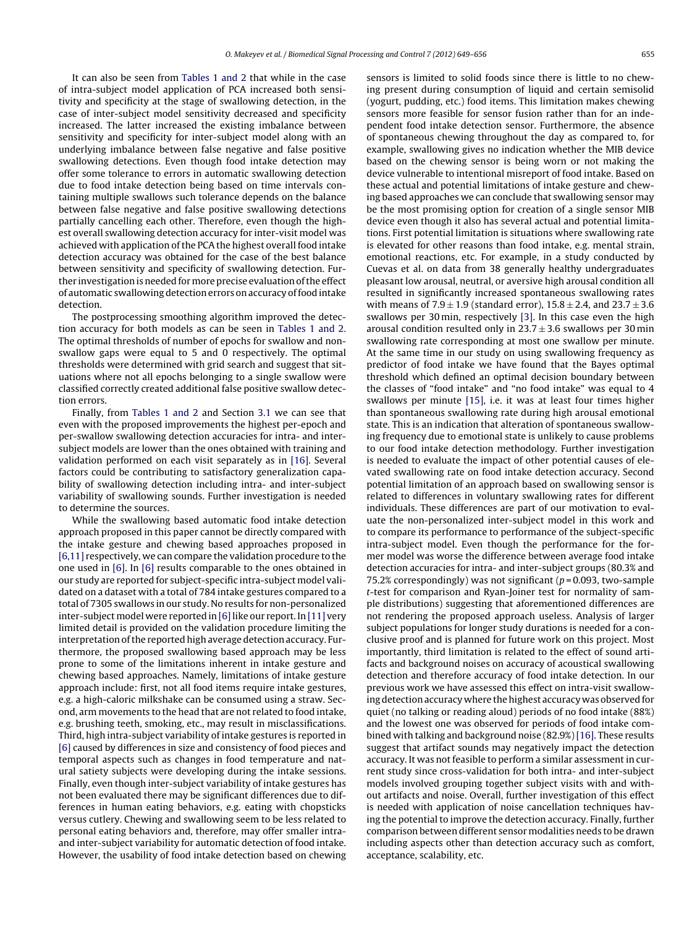It can also be seen from [Tables](#page-4-0) 1 and 2 that while in the case of intra-subject model application of PCA increased both sensitivity and specificity at the stage of swallowing detection, in the case of inter-subject model sensitivity decreased and specificity increased. The latter increased the existing imbalance between sensitivity and specificity for inter-subject model along with an underlying imbalance between false negative and false positive swallowing detections. Even though food intake detection may offer some tolerance to errors in automatic swallowing detection due to food intake detection being based on time intervals containing multiple swallows such tolerance depends on the balance between false negative and false positive swallowing detections partially cancelling each other. Therefore, even though the highest overall swallowing detection accuracy for inter-visit model was achieved with application of the PCA the highest overall food intake detection accuracy was obtained for the case of the best balance between sensitivity and specificity of swallowing detection. Further investigation is needed for more precise evaluation of the effect of automatic swallowing detection errors on accuracy of food intake detection.

The postprocessing smoothing algorithm improved the detection accuracy for both models as can be seen in [Tables](#page-4-0) 1 and 2. The optimal thresholds of number of epochs for swallow and nonswallow gaps were equal to 5 and 0 respectively. The optimal thresholds were determined with grid search and suggest that situations where not all epochs belonging to a single swallow were classified correctly created additional false positive swallow detection errors.

Finally, from [Tables](#page-4-0) 1 and 2 and Section [3.1](#page-2-0) we can see that even with the proposed improvements the highest per-epoch and per-swallow swallowing detection accuracies for intra- and intersubject models are lower than the ones obtained with training and validation performed on each visit separately as in [\[16\].](#page-7-0) Several factors could be contributing to satisfactory generalization capability of swallowing detection including intra- and inter-subject variability of swallowing sounds. Further investigation is needed to determine the sources.

While the swallowing based automatic food intake detection approach proposed in this paper cannot be directly compared with the intake gesture and chewing based approaches proposed in [\[6,11\]](#page-7-0) respectively, we can compare the validation procedure to the one used in [\[6\].](#page-7-0) In [\[6\]](#page-7-0) results comparable to the ones obtained in our study are reported for subject-specific intra-subject model validated on a dataset with a total of 784 intake gestures compared to a total of 7305 swallows in our study. No results for non-personalized inter-subject model were reported in  $[6]$  like our report. In  $[11]$  very limited detail is provided on the validation procedure limiting the interpretation of the reported high average detection accuracy. Furthermore, the proposed swallowing based approach may be less prone to some of the limitations inherent in intake gesture and chewing based approaches. Namely, limitations of intake gesture approach include: first, not all food items require intake gestures, e.g. a high-caloric milkshake can be consumed using a straw. Second, arm movements to the head that are not related to food intake, e.g. brushing teeth, smoking, etc., may result in misclassifications. Third, high intra-subject variability of intake gestures is reported in [\[6\]](#page-7-0) caused by differences in size and consistency of food pieces and temporal aspects such as changes in food temperature and natural satiety subjects were developing during the intake sessions. Finally, even though inter-subject variability of intake gestures has not been evaluated there may be significant differences due to differences in human eating behaviors, e.g. eating with chopsticks versus cutlery. Chewing and swallowing seem to be less related to personal eating behaviors and, therefore, may offer smaller intraand inter-subject variability for automatic detection of food intake. However, the usability of food intake detection based on chewing sensors is limited to solid foods since there is little to no chewing present during consumption of liquid and certain semisolid (yogurt, pudding, etc.) food items. This limitation makes chewing sensors more feasible for sensor fusion rather than for an independent food intake detection sensor. Furthermore, the absence of spontaneous chewing throughout the day as compared to, for example, swallowing gives no indication whether the MIB device based on the chewing sensor is being worn or not making the device vulnerable to intentional misreport of food intake. Based on these actual and potential limitations of intake gesture and chewing based approaches we can conclude that swallowing sensor may be the most promising option for creation of a single sensor MIB device even though it also has several actual and potential limitations. First potential limitation is situations where swallowing rate is elevated for other reasons than food intake, e.g. mental strain, emotional reactions, etc. For example, in a study conducted by Cuevas et al. on data from 38 generally healthy undergraduates pleasant low arousal, neutral, or aversive high arousal condition all resulted in significantly increased spontaneous swallowing rates with means of  $7.9 \pm 1.9$  (standard error),  $15.8 \pm 2.4$ , and  $23.7 \pm 3.6$ swallows per 30 min, respectively [\[3\].](#page-7-0) In this case even the high arousal condition resulted only in  $23.7 \pm 3.6$  swallows per 30 min swallowing rate corresponding at most one swallow per minute. At the same time in our study on using swallowing frequency as predictor of food intake we have found that the Bayes optimal threshold which defined an optimal decision boundary between the classes of "food intake" and "no food intake" was equal to 4 swallows per minute [\[15\],](#page-7-0) i.e. it was at least four times higher than spontaneous swallowing rate during high arousal emotional state. This is an indication that alteration of spontaneous swallowing frequency due to emotional state is unlikely to cause problems to our food intake detection methodology. Further investigation is needed to evaluate the impact of other potential causes of elevated swallowing rate on food intake detection accuracy. Second potential limitation of an approach based on swallowing sensor is related to differences in voluntary swallowing rates for different individuals. These differences are part of our motivation to evaluate the non-personalized inter-subject model in this work and to compare its performance to performance of the subject-specific intra-subject model. Even though the performance for the former model was worse the difference between average food intake detection accuracies for intra- and inter-subject groups (80.3% and 75.2% correspondingly) was not significant ( $p = 0.093$ , two-sample t-test for comparison and Ryan-Joiner test for normality of sample distributions) suggesting that aforementioned differences are not rendering the proposed approach useless. Analysis of larger subject populations for longer study durations is needed for a conclusive proof and is planned for future work on this project. Most importantly, third limitation is related to the effect of sound artifacts and background noises on accuracy of acoustical swallowing detection and therefore accuracy of food intake detection. In our previous work we have assessed this effect on intra-visit swallowing detection accuracy where the highest accuracy was observed for quiet (no talking or reading aloud) periods of no food intake (88%) and the lowest one was observed for periods of food intake combined with talking and background noise (82.9%)[\[16\].](#page-7-0) These results suggest that artifact sounds may negatively impact the detection accuracy. It was not feasible to perform a similar assessment in current study since cross-validation for both intra- and inter-subject models involved grouping together subject visits with and without artifacts and noise. Overall, further investigation of this effect is needed with application of noise cancellation techniques having the potential to improve the detection accuracy. Finally, further comparison between different sensor modalities needs to be drawn including aspects other than detection accuracy such as comfort, acceptance, scalability, etc.